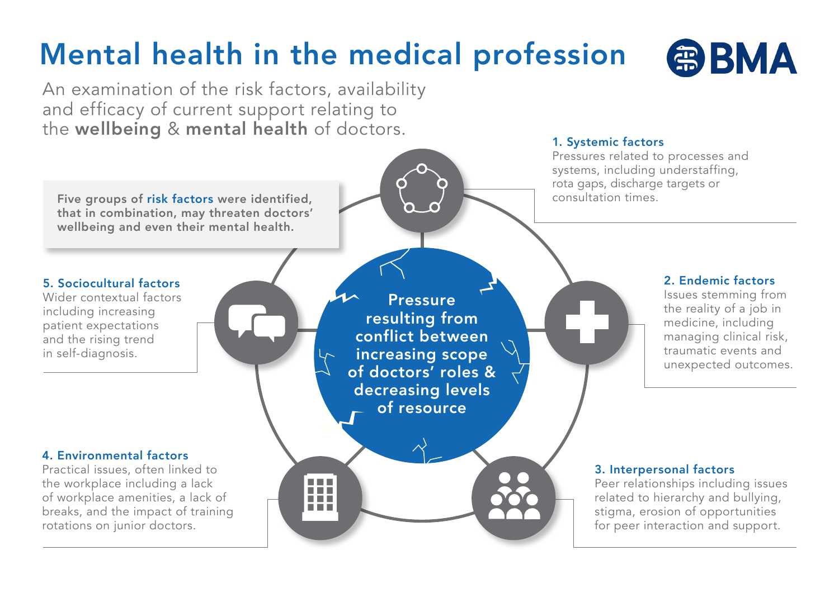# Mental health in the medical profession



An examination of the risk factors, availability and efficacy of current support relating to the wellbeing & mental health of doctors.